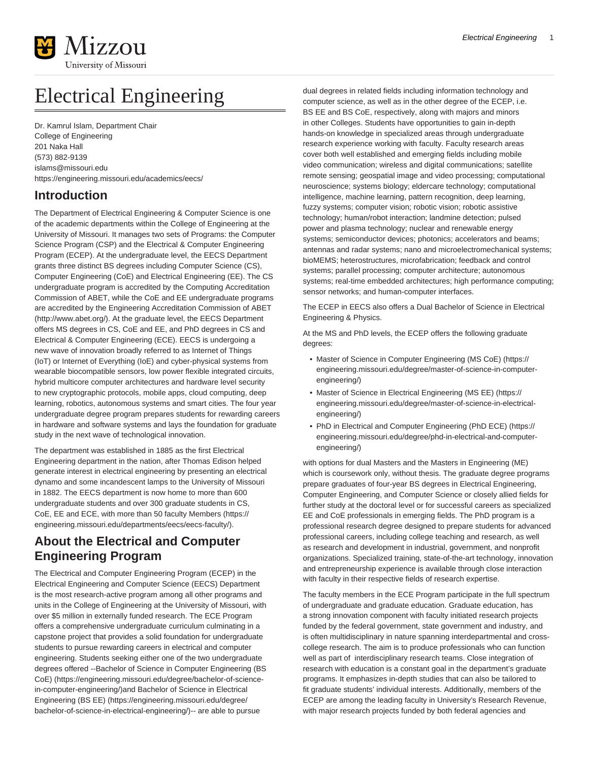

# Electrical Engineering

Dr. Kamrul Islam, Department Chair College of Engineering 201 Naka Hall (573) 882-9139 [islams@missouri.edu](mailto:islams@missouri.edu) <https://engineering.missouri.edu/academics/eecs/>

## **Introduction**

The Department of Electrical Engineering & Computer Science is one of the academic departments within the College of Engineering at the University of Missouri. It manages two sets of Programs: the Computer Science Program (CSP) and the Electrical & Computer Engineering Program (ECEP). At the undergraduate level, the EECS Department grants three distinct BS degrees including Computer Science (CS), Computer Engineering (CoE) and Electrical Engineering (EE). The CS undergraduate program is accredited by the Computing Accreditation Commission of ABET, while the CoE and EE undergraduate programs are accredited by the [Engineering Accreditation Commission of ABET](http://www.abet.org/) ([http://www.abet.org/\)](http://www.abet.org/). At the graduate level, the EECS Department offers MS degrees in CS, CoE and EE, and PhD degrees in CS and Electrical & Computer Engineering (ECE). EECS is undergoing a new wave of innovation broadly referred to as Internet of Things (IoT) or Internet of Everything (IoE) and cyber-physical systems from wearable biocompatible sensors, low power flexible integrated circuits, hybrid multicore computer architectures and hardware level security to new cryptographic protocols, mobile apps, cloud computing, deep learning, robotics, autonomous systems and smart cities. The four year undergraduate degree program prepares students for rewarding careers in hardware and software systems and lays the foundation for graduate study in the next wave of technological innovation.

The department was established in 1885 as the first Electrical Engineering department in the nation, after Thomas Edison helped generate interest in electrical engineering by presenting an electrical dynamo and some incandescent lamps to the University of Missouri in 1882. The EECS department is now home to more than 600 undergraduate students and over 300 graduate students in CS, CoE, EE and ECE, with more than [50 faculty Members](https://engineering.missouri.edu/departments/eecs/eecs-faculty/) ([https://](https://engineering.missouri.edu/departments/eecs/eecs-faculty/) [engineering.missouri.edu/departments/eecs/eecs-faculty/](https://engineering.missouri.edu/departments/eecs/eecs-faculty/)).

## **About the Electrical and Computer Engineering Program**

The Electrical and Computer Engineering Program (ECEP) in the Electrical Engineering and Computer Science (EECS) Department is the most research-active program among all other programs and units in the College of Engineering at the University of Missouri, with over \$5 million in externally funded research. The ECE Program offers a comprehensive undergraduate curriculum culminating in a capstone project that provides a solid foundation for undergraduate students to pursue rewarding careers in electrical and computer engineering. Students seeking either one of the two undergraduate degrees offered --[Bachelor of Science in Computer Engineering \(BS](https://engineering.missouri.edu/degree/bachelor-of-science-in-computer-engineering/) [CoE\)](https://engineering.missouri.edu/degree/bachelor-of-science-in-computer-engineering/) [\(https://engineering.missouri.edu/degree/bachelor-of-science](https://engineering.missouri.edu/degree/bachelor-of-science-in-computer-engineering/)[in-computer-engineering/\)](https://engineering.missouri.edu/degree/bachelor-of-science-in-computer-engineering/)and [Bachelor of Science in Electrical](https://engineering.missouri.edu/degree/bachelor-of-science-in-electrical-engineering/) [Engineering \(BS EE\)](https://engineering.missouri.edu/degree/bachelor-of-science-in-electrical-engineering/) ([https://engineering.missouri.edu/degree/](https://engineering.missouri.edu/degree/bachelor-of-science-in-electrical-engineering/) [bachelor-of-science-in-electrical-engineering/\)](https://engineering.missouri.edu/degree/bachelor-of-science-in-electrical-engineering/)-- are able to pursue

dual degrees in related fields including information technology and computer science, as well as in the other degree of the ECEP, i.e. BS EE and BS CoE, respectively, along with majors and minors in other Colleges. Students have opportunities to gain in-depth hands-on knowledge in specialized areas through undergraduate research experience working with faculty. Faculty research areas cover both well established and emerging fields including mobile video communication; wireless and digital communications; satellite remote sensing; geospatial image and video processing; computational neuroscience; systems biology; eldercare technology; computational intelligence, machine learning, pattern recognition, deep learning, fuzzy systems; computer vision; robotic vision; robotic assistive technology; human/robot interaction; landmine detection; pulsed power and plasma technology; nuclear and renewable energy systems; semiconductor devices; photonics; accelerators and beams; antennas and radar systems; nano and microelectromechanical systems; bioMEMS; heterostructures, microfabrication; feedback and control systems; parallel processing; computer architecture; autonomous systems; real-time embedded architectures; high performance computing; sensor networks; and human-computer interfaces.

The ECEP in EECS also offers a Dual Bachelor of Science in Electrical Engineering & Physics.

At the MS and PhD levels, the ECEP offers the following graduate degrees:

- [Master of Science in Computer Engineering \(MS CoE\)](https://engineering.missouri.edu/degree/master-of-science-in-computer-engineering/) ([https://](https://engineering.missouri.edu/degree/master-of-science-in-computer-engineering/) [engineering.missouri.edu/degree/master-of-science-in-computer](https://engineering.missouri.edu/degree/master-of-science-in-computer-engineering/)[engineering/](https://engineering.missouri.edu/degree/master-of-science-in-computer-engineering/))
- [Master of Science in Electrical Engineering \(MS EE\) \(https://](https://engineering.missouri.edu/degree/master-of-science-in-electrical-engineering/) [engineering.missouri.edu/degree/master-of-science-in-electrical](https://engineering.missouri.edu/degree/master-of-science-in-electrical-engineering/)[engineering/](https://engineering.missouri.edu/degree/master-of-science-in-electrical-engineering/))
- [PhD in Electrical and Computer Engineering \(PhD ECE\)](https://engineering.missouri.edu/degree/phd-in-electrical-and-computer-engineering/) [\(https://](https://engineering.missouri.edu/degree/phd-in-electrical-and-computer-engineering/) [engineering.missouri.edu/degree/phd-in-electrical-and-computer](https://engineering.missouri.edu/degree/phd-in-electrical-and-computer-engineering/)[engineering/](https://engineering.missouri.edu/degree/phd-in-electrical-and-computer-engineering/))

with options for dual Masters and the Masters in Engineering (ME) which is coursework only, without thesis. The graduate degree programs prepare graduates of four-year BS degrees in Electrical Engineering, Computer Engineering, and Computer Science or closely allied fields for further study at the doctoral level or for successful careers as specialized EE and CoE professionals in emerging fields. The PhD program is a professional research degree designed to prepare students for advanced professional careers, including college teaching and research, as well as research and development in industrial, government, and nonprofit organizations. Specialized training, state-of-the-art technology, innovation and entrepreneurship experience is available through close interaction with faculty in their respective fields of research expertise.

The faculty members in the ECE Program participate in the full spectrum of undergraduate and graduate education. Graduate education, has a strong innovation component with faculty initiated research projects funded by the federal government, state government and industry, and is often multidisciplinary in nature spanning interdepartmental and crosscollege research. The aim is to produce professionals who can function well as part of interdisciplinary research teams. Close integration of research with education is a constant goal in the department's graduate programs. It emphasizes in-depth studies that can also be tailored to fit graduate students' individual interests. Additionally, members of the ECEP are among the leading faculty in University's Research Revenue, with major research projects funded by both federal agencies and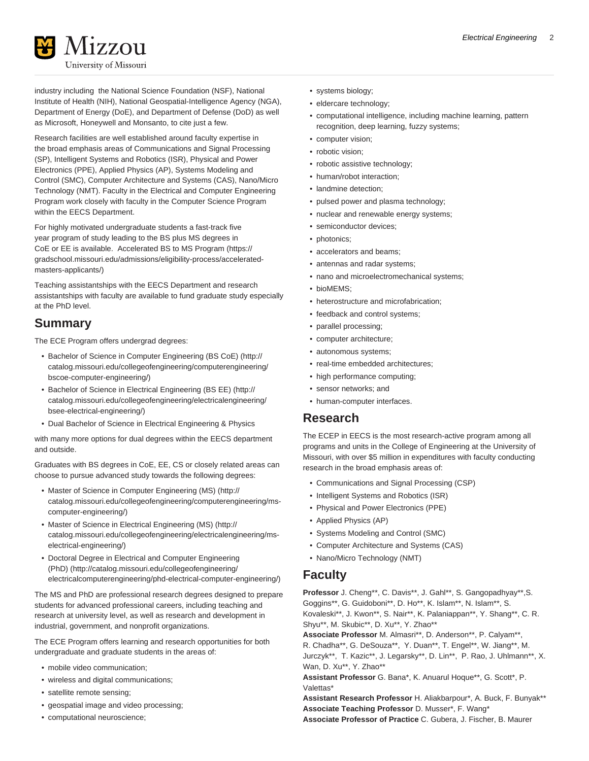

industry including the National Science Foundation (NSF), National Institute of Health (NIH), National Geospatial-Intelligence Agency (NGA), Department of Energy (DoE), and Department of Defense (DoD) as well as Microsoft, Honeywell and Monsanto, to cite just a few.

Research facilities are well established around faculty expertise in the broad emphasis areas of Communications and Signal Processing (SP), Intelligent Systems and Robotics (ISR), Physical and Power Electronics (PPE), Applied Physics (AP), Systems Modeling and Control (SMC), Computer Architecture and Systems (CAS), Nano/Micro Technology (NMT). Faculty in the Electrical and Computer Engineering Program work closely with faculty in the Computer Science Program within the EECS Department.

For highly motivated undergraduate students a fast-track five year program of study leading to the BS plus MS degrees in CoE or EE is available. [Accelerated BS to MS Program](https://gradschool.missouri.edu/admissions/eligibility-process/accelerated-masters-applicants/) [\(https://](https://gradschool.missouri.edu/admissions/eligibility-process/accelerated-masters-applicants/) [gradschool.missouri.edu/admissions/eligibility-process/accelerated](https://gradschool.missouri.edu/admissions/eligibility-process/accelerated-masters-applicants/)[masters-applicants/](https://gradschool.missouri.edu/admissions/eligibility-process/accelerated-masters-applicants/))

Teaching assistantships with the EECS Department and research assistantships with faculty are available to fund graduate study especially at the PhD level.

## **Summary**

The ECE Program offers undergrad degrees:

- [Bachelor of Science in Computer Engineering \(BS CoE\)](http://catalog.missouri.edu/collegeofengineering/computerengineering/bscoe-computer-engineering/) ([http://](http://catalog.missouri.edu/collegeofengineering/computerengineering/bscoe-computer-engineering/) [catalog.missouri.edu/collegeofengineering/computerengineering/](http://catalog.missouri.edu/collegeofengineering/computerengineering/bscoe-computer-engineering/) [bscoe-computer-engineering/](http://catalog.missouri.edu/collegeofengineering/computerengineering/bscoe-computer-engineering/))
- [Bachelor of Science in Electrical Engineering \(BS EE\)](http://catalog.missouri.edu/collegeofengineering/electricalengineering/bsee-electrical-engineering/) [\(http://](http://catalog.missouri.edu/collegeofengineering/electricalengineering/bsee-electrical-engineering/) [catalog.missouri.edu/collegeofengineering/electricalengineering/](http://catalog.missouri.edu/collegeofengineering/electricalengineering/bsee-electrical-engineering/) [bsee-electrical-engineering/](http://catalog.missouri.edu/collegeofengineering/electricalengineering/bsee-electrical-engineering/))
- Dual Bachelor of Science in Electrical Engineering & Physics

with many more options for dual degrees within the EECS department and outside.

Graduates with BS degrees in CoE, EE, CS or closely related areas can choose to pursue advanced study towards the following degrees:

- [Master of Science in Computer Engineering \(MS\)](http://catalog.missouri.edu/collegeofengineering/computerengineering/ms-computer-engineering/) [\(http://](http://catalog.missouri.edu/collegeofengineering/computerengineering/ms-computer-engineering/) [catalog.missouri.edu/collegeofengineering/computerengineering/ms](http://catalog.missouri.edu/collegeofengineering/computerengineering/ms-computer-engineering/)[computer-engineering/](http://catalog.missouri.edu/collegeofengineering/computerengineering/ms-computer-engineering/))
- [Master of Science in Electrical Engineering \(MS\) \(http://](http://catalog.missouri.edu/collegeofengineering/electricalengineering/ms-electrical-engineering/) [catalog.missouri.edu/collegeofengineering/electricalengineering/ms](http://catalog.missouri.edu/collegeofengineering/electricalengineering/ms-electrical-engineering/)[electrical-engineering/](http://catalog.missouri.edu/collegeofengineering/electricalengineering/ms-electrical-engineering/))
- [Doctoral Degree in Electrical and Computer Engineering](http://catalog.missouri.edu/collegeofengineering/electricalcomputerengineering/phd-electrical-computer-engineering/) [\(PhD\)](http://catalog.missouri.edu/collegeofengineering/electricalcomputerengineering/phd-electrical-computer-engineering/) ([http://catalog.missouri.edu/collegeofengineering/](http://catalog.missouri.edu/collegeofengineering/electricalcomputerengineering/phd-electrical-computer-engineering/) [electricalcomputerengineering/phd-electrical-computer-engineering/](http://catalog.missouri.edu/collegeofengineering/electricalcomputerengineering/phd-electrical-computer-engineering/))

The MS and PhD are professional research degrees designed to prepare students for advanced professional careers, including teaching and research at university level, as well as research and development in industrial, government, and nonprofit organizations.

The ECE Program offers learning and research opportunities for both undergraduate and graduate students in the areas of:

- mobile video communication;
- wireless and digital communications;
- satellite remote sensing;
- geospatial image and video processing;
- computational neuroscience;
- systems biology;
- eldercare technology;
- computational intelligence, including machine learning, pattern recognition, deep learning, fuzzy systems;
- computer vision;
- robotic vision;
- robotic assistive technology;
- human/robot interaction;
- landmine detection;
- pulsed power and plasma technology;
- nuclear and renewable energy systems;
- semiconductor devices;
- photonics;
- accelerators and beams;
- antennas and radar systems;
- nano and microelectromechanical systems;
- bioMEMS;
- heterostructure and microfabrication;
- feedback and control systems;
- parallel processing;
- computer architecture;
- autonomous systems;
- real-time embedded architectures;
- high performance computing;
- sensor networks; and
- human-computer interfaces.

#### **Research**

The ECEP in EECS is the most research-active program among all programs and units in the College of Engineering at the University of Missouri, with over \$5 million in expenditures with faculty conducting research in the broad emphasis areas of:

- Communications and Signal Processing (CSP)
- Intelligent Systems and Robotics (ISR)
- Physical and Power Electronics (PPE)
- Applied Physics (AP)
- Systems Modeling and Control (SMC)
- Computer Architecture and Systems (CAS)
- Nano/Micro Technology (NMT)

#### **Faculty**

**Professor** J. Cheng\*\*, C. Davis\*\*, J. Gahl\*\*, S. Gangopadhyay\*\*,S. Goggins\*\*, G. Guidoboni\*\*, D. Ho\*\*, K. Islam\*\*, N. Islam\*\*, S. Kovaleski\*\*, J. Kwon\*\*, S. Nair\*\*, K. Palaniappan\*\*, Y. Shang\*\*, C. R. Shyu\*\*, M. Skubic\*\*, D. Xu\*\*, Y. Zhao\*\* **Associate Professor** M. Almasri\*\*, D. Anderson\*\*, P. Calyam\*\*,

R. Chadha\*\*, G. DeSouza\*\*, Y. Duan\*\*, T. Engel\*\*, W. Jiang\*\*, M. Jurczyk\*\*, T. Kazic\*\*, J. Legarsky\*\*, D. Lin\*\*, P. Rao, J. Uhlmann\*\*, X. Wan, D. Xu\*\*, Y. Zhao\*\*

**Assistant Professor** G. Bana\*, K. Anuarul Hoque\*\*, G. Scott\*, P. Valettas\*

**Assistant Research Professor** H. Aliakbarpour\*, A. Buck, F. Bunyak\*\* **Associate Teaching Professor** D. Musser\*, F. Wang\* **Associate Professor of Practice** C. Gubera, J. Fischer, B. Maurer